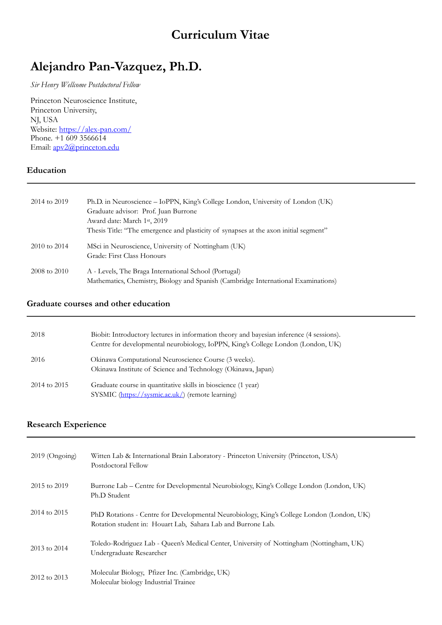# **Curriculum Vitae**

# **Alejandro Pan-Vazquez, Ph.D.**

*Sir Henry Wellcome Postdoctoral Fellow* 

Princeton Neuroscience Institute, Princeton University, NJ, USA Website: <https://alex-pan.com/> Phone. +1 609 3566614 Email: [apv2@princeton.edu](mailto:apv2@princeton.edu)

### **Education**

| 2014 to 2019 | Ph.D. in Neuroscience – IoPPN, King's College London, University of London (UK)<br>Graduate advisor: Prof. Juan Burrone<br>Award date: March 1st, 2019<br>Thesis Title: "The emergence and plasticity of synapses at the axon initial segment" |
|--------------|------------------------------------------------------------------------------------------------------------------------------------------------------------------------------------------------------------------------------------------------|
| 2010 to 2014 | MSci in Neuroscience, University of Nottingham (UK)<br>Grade: First Class Honours                                                                                                                                                              |
| 2008 to 2010 | A - Levels, The Braga International School (Portugal)<br>Mathematics, Chemistry, Biology and Spanish (Cambridge International Examinations)                                                                                                    |

#### **Graduate courses and other education**

| 2018         | Biobit: Introductory lectures in information theory and bayesian inference (4 sessions).<br>Centre for developmental neurobiology, IoPPN, King's College London (London, UK) |
|--------------|------------------------------------------------------------------------------------------------------------------------------------------------------------------------------|
| 2016         | Okinawa Computational Neuroscience Course (3 weeks).<br>Okinawa Institute of Science and Technology (Okinawa, Japan)                                                         |
| 2014 to 2015 | Graduate course in quantitative skills in bioscience (1 year)<br>SYSMIC (https://sysmic.ac.uk/) (remote learning)                                                            |

## **Research Experience**

| $2019$ (Ongoing) | Witten Lab & International Brain Laboratory - Princeton University (Princeton, USA)<br>Postdoctoral Fellow                                                |
|------------------|-----------------------------------------------------------------------------------------------------------------------------------------------------------|
| 2015 to 2019     | Burrone Lab - Centre for Developmental Neurobiology, King's College London (London, UK)<br>Ph.D Student                                                   |
| 2014 to 2015     | PhD Rotations - Centre for Developmental Neurobiology, King's College London (London, UK)<br>Rotation student in: Houart Lab, Sahara Lab and Burrone Lab. |
| 2013 to 2014     | Toledo-Rodriguez Lab - Queen's Medical Center, University of Nottingham (Nottingham, UK)<br>Undergraduate Researcher                                      |
| 2012 to 2013     | Molecular Biology, Pfizer Inc. (Cambridge, UK)<br>Molecular biology Industrial Trainee                                                                    |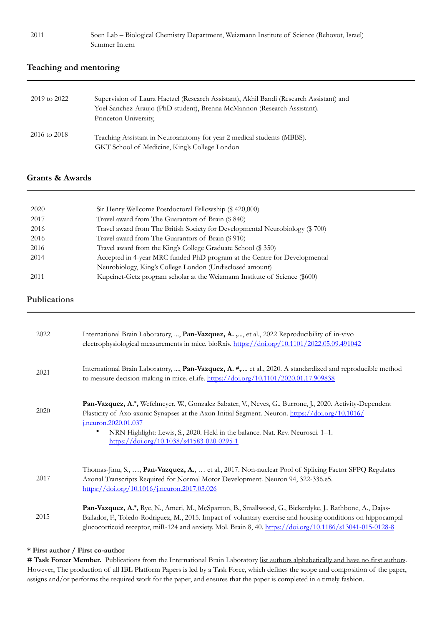#### **Teaching and mentoring**

| 2019 to 2022 | Supervision of Laura Haetzel (Research Assistant), Akhil Bandi (Research Assistant) and<br>Yoel Sanchez-Araujo (PhD student), Brenna McMannon (Research Assistant).<br>Princeton University, |
|--------------|----------------------------------------------------------------------------------------------------------------------------------------------------------------------------------------------|
| 2016 to 2018 | Teaching Assistant in Neuroanatomy for year 2 medical students (MBBS).<br>GKT School of Medicine, King's College London                                                                      |

#### **Grants & Awards**

| 2020 | Sir Henry Wellcome Postdoctoral Fellowship (\$420,000)                       |
|------|------------------------------------------------------------------------------|
| 2017 | Travel award from The Guarantors of Brain (\$ 840)                           |
| 2016 | Travel award from The British Society for Developmental Neurobiology (\$700) |
| 2016 | Travel award from The Guarantors of Brain (\$ 910)                           |
| 2016 | Travel award from the King's College Graduate School (\$350)                 |
| 2014 | Accepted in 4-year MRC funded PhD program at the Centre for Developmental    |
|      | Neurobiology, King's College London (Undisclosed amount)                     |
| 2011 | Kupcinet-Getz program scholar at the Weizmann Institute of Science (\$600)   |

#### **Publications**

| 2022 | International Brain Laboratory, , Pan-Vazquez, A., , et al., 2022 Reproducibility of in-vivo<br>electrophysiological measurements in mice. bioRxiv. https://doi.org/10.1101/2022.05.09.491042                                                                                                                                                                     |
|------|-------------------------------------------------------------------------------------------------------------------------------------------------------------------------------------------------------------------------------------------------------------------------------------------------------------------------------------------------------------------|
| 2021 | International Brain Laboratory, , Pan-Vazquez, A. #,, et al., 2020. A standardized and reproducible method<br>to measure decision-making in mice. eLife. https://doi.org/10.1101/2020.01.17.909838                                                                                                                                                                |
| 2020 | Pan-Vazquez, A.*, Wefelmeyer, W., Gonzalez Sabater, V., Neves, G., Burrone, J., 2020. Activity-Dependent<br>Plasticity of Axo-axonic Synapses at the Axon Initial Segment. Neuron. https://doi.org/10.1016/<br>j.neuron.2020.01.037<br>NRN Highlight: Lewis, S., 2020. Held in the balance. Nat. Rev. Neurosci. 1-1.<br>https://doi.org/10.1038/s41583-020-0295-1 |
| 2017 | Thomas-Jinu, S., , Pan-Vazquez, A.,  et al., 2017. Non-nuclear Pool of Splicing Factor SFPQ Regulates<br>Axonal Transcripts Required for Normal Motor Development. Neuron 94, 322-336.e5.<br>https://doi.org/10.1016/j.neuron.2017.03.026                                                                                                                         |
| 2015 | Pan-Vazquez, A.*, Rye, N., Ameri, M., McSparron, B., Smallwood, G., Bickerdyke, J., Rathbone, A., Dajas-<br>Bailador, F., Toledo-Rodriguez, M., 2015. Impact of voluntary exercise and housing conditions on hippocampal<br>glucocorticoid receptor, miR-124 and anxiety. Mol. Brain 8, 40. https://doi.org/10.1186/s13041-015-0128-8                             |

#### **\* First author / First co-author**

# Task Forcer Member. Publications from the International Brain Laboratory list authors alphabetically and have no first authors. However, The production of all IBL Platform Papers is led by a Task Force, which defines the scope and composition of the paper, assigns and/or performs the required work for the paper, and ensures that the paper is completed in a timely fashion.